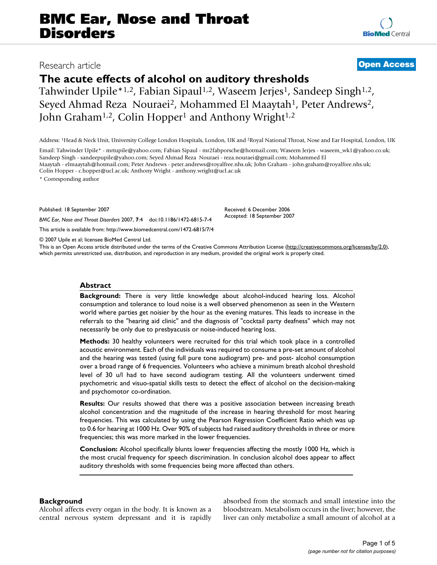## Research article **[Open Access](http://www.biomedcentral.com/info/about/charter/)**

# **The acute effects of alcohol on auditory thresholds**

Tahwinder Upile\*<sup>1,2</sup>, Fabian Sipaul<sup>1,2</sup>, Waseem Jerjes<sup>1</sup>, Sandeep Singh<sup>1,2</sup>, Seyed Ahmad Reza Nouraei<sup>2</sup>, Mohammed El Maaytah<sup>1</sup>, Peter Andrews<sup>2</sup>, John Graham<sup>1,2</sup>, Colin Hopper<sup>1</sup> and Anthony Wright<sup>1,2</sup>

Address: 1Head & Neck Unit, University College London Hospitals, London, UK and 2Royal National Throat, Nose and Ear Hospital, London, UK

Email: Tahwinder Upile\* - mrtupile@yahoo.com; Fabian Sipaul - mr2fabporsche@hotmail.com; Waseem Jerjes - waseem\_wk1@yahoo.co.uk; Sandeep Singh - sandeepupile@yahoo.com; Seyed Ahmad Reza Nouraei - reza.nouraei@gmail.com; Mohammed El Maaytah - elmaaytah@hotmail.com; Peter Andrews - peter.andrews@royalfree.nhs.uk; John Graham - john.graham@royalfree.nhs.uk; Colin Hopper - c.hopper@ucl.ac.uk; Anthony Wright - anthony.wright@ucl.ac.uk

\* Corresponding author

Published: 18 September 2007

Received: 6 December 2006 Accepted: 18 September 2007

*BMC Ear, Nose and Throat Disorders* 2007, **7**:4 doi:10.1186/1472-6815-7-4 [This article is available from: http://www.biomedcentral.com/1472-6815/7/4](http://www.biomedcentral.com/1472-6815/7/4)

© 2007 Upile et al; licensee BioMed Central Ltd.

This is an Open Access article distributed under the terms of the Creative Commons Attribution License [\(http://creativecommons.org/licenses/by/2.0\)](http://creativecommons.org/licenses/by/2.0), which permits unrestricted use, distribution, and reproduction in any medium, provided the original work is properly cited.

#### **Abstract**

**Background:** There is very little knowledge about alcohol-induced hearing loss. Alcohol consumption and tolerance to loud noise is a well observed phenomenon as seen in the Western world where parties get noisier by the hour as the evening matures. This leads to increase in the referrals to the "hearing aid clinic" and the diagnosis of "cocktail party deafness" which may not necessarily be only due to presbyacusis or noise-induced hearing loss.

**Methods:** 30 healthy volunteers were recruited for this trial which took place in a controlled acoustic environment. Each of the individuals was required to consume a pre-set amount of alcohol and the hearing was tested (using full pure tone audiogram) pre- and post- alcohol consumption over a broad range of 6 frequencies. Volunteers who achieve a minimum breath alcohol threshold level of 30 u/l had to have second audiogram testing. All the volunteers underwent timed psychometric and visuo-spatial skills tests to detect the effect of alcohol on the decision-making and psychomotor co-ordination.

**Results:** Our results showed that there was a positive association between increasing breath alcohol concentration and the magnitude of the increase in hearing threshold for most hearing frequencies. This was calculated by using the Pearson Regression Coefficient Ratio which was up to 0.6 for hearing at 1000 Hz. Over 90% of subjects had raised auditory thresholds in three or more frequencies; this was more marked in the lower frequencies.

**Conclusion:** Alcohol specifically blunts lower frequencies affecting the mostly 1000 Hz, which is the most crucial frequency for speech discrimination. In conclusion alcohol does appear to affect auditory thresholds with some frequencies being more affected than others.

#### **Background**

Alcohol affects every organ in the body. It is known as a central nervous system depressant and it is rapidly absorbed from the stomach and small intestine into the bloodstream. Metabolism occurs in the liver; however, the liver can only metabolize a small amount of alcohol at a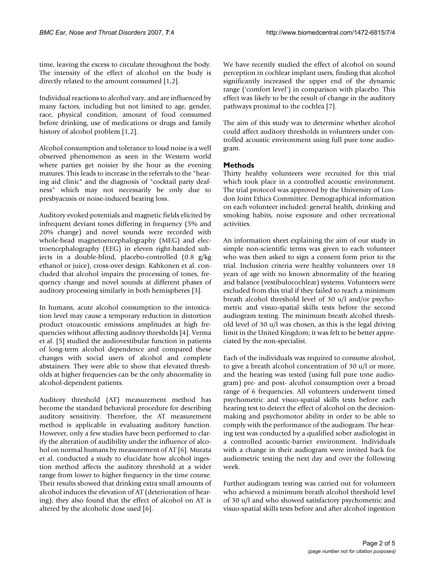time, leaving the excess to circulate throughout the body. The intensity of the effect of alcohol on the body is directly related to the amount consumed [1,2].

Individual reactions to alcohol vary, and are influenced by many factors, including but not limited to age, gender, race, physical condition, amount of food consumed before drinking, use of medications or drugs and family history of alcohol problem [1,2].

Alcohol consumption and tolerance to loud noise is a well observed phenomenon as seen in the Western world where parties get noisier by the hour as the evening matures. This leads to increase in the referrals to the "hearing aid clinic" and the diagnosis of "cocktail party deafness" which may not necessarily be only due to presbyacusis or noise-induced hearing loss.

Auditory evoked potentials and magnetic fields elicited by infrequent deviant tones differing in frequency (5% and 20% change) and novel sounds were recorded with whole-head magnetoencephalography (MEG) and electroencephalography (EEG) in eleven right-handed subjects in a double-blind, placebo-controlled (0.8 g/kg ethanol or juice), cross-over design. Kahkonen et al. concluded that alcohol impairs the processing of tones, frequency change and novel sounds at different phases of auditory processing similarly in both hemispheres [3].

In humans, acute alcohol consumption to the intoxication level may cause a temporary reduction in distortion product otoacoustic emissions amplitudes at high frequencies without affecting auditory thresholds [4]. Verma et al. [5] studied the audiovestibular function in patients of long-term alcohol dependence and compared these changes with social users of alcohol and complete abstainers. They were able to show that elevated thresholds at higher frequencies can be the only abnormality in alcohol-dependent patients.

Auditory threshold (AT) measurement method has become the standard behavioral procedure for describing auditory sensitivity. Therefore, the AT measurement method is applicable in evaluating auditory function. However, only a few studies have been performed to clarify the alteration of audibility under the influence of alcohol on normal humans by measurement of AT [6]. Murata et al. conducted a study to elucidate how alcohol ingestion method affects the auditory threshold at a wider range from lower to higher frequency in the time course. Their results showed that drinking extra small amounts of alcohol induces the elevation of AT (deterioration of hearing); they also found that the effect of alcohol on AT is altered by the alcoholic dose used [6].

We have recently studied the effect of alcohol on sound perception in cochlear implant users, finding that alcohol significantly increased the upper end of the dynamic range ('comfort level') in comparison with placebo. This effect was likely to be the result of change in the auditory pathways proximal to the cochlea [7].

The aim of this study was to determine whether alcohol could affect auditory thresholds in volunteers under controlled acoustic environment using full pure tone audiogram.

#### **Methods**

Thirty healthy volunteers were recruited for this trial which took place in a controlled acoustic environment. The trial protocol was approved by the University of London Joint Ethics Committee. Demographical information on each volunteer included: general health, drinking and smoking habits, noise exposure and other recreational activities.

An information sheet explaining the aim of our study in simple non-scientific terms was given to each volunteer who was then asked to sign a consent form prior to the trial. Inclusion criteria were healthy volunteers over 18 years of age with no known abnormality of the hearing and balance (vestibulocochlear) systems. Volunteers were excluded from this trial if they failed to reach a minimum breath alcohol threshold level of 30 u/l and/or psychometric and visuo-spatial skills tests before the second audiogram testing. The minimum breath alcohol threshold level of 30 u/l was chosen, as this is the legal driving limit in the United Kingdom; it was felt to be better appreciated by the non-specialist.

Each of the individuals was required to consume alcohol, to give a breath alcohol concentration of 30 u/l or more, and the hearing was tested (using full pure tone audiogram) pre- and post- alcohol consumption over a broad range of 6 frequencies. All volunteers underwent timed psychometric and visuo-spatial skills tests before each hearing test to detect the effect of alcohol on the decisionmaking and psychomotor ability in order to be able to comply with the performance of the audiogram. The hearing test was conducted by a qualified sober audiologist in a controlled acoustic-barrier environment. Individuals with a change in their audiogram were invited back for audiometric testing the next day and over the following week.

Further audiogram testing was carried out for volunteers who achieved a minimum breath alcohol threshold level of 30 u/l and who showed satisfactory psychometric and visuo-spatial skills tests before and after alcohol ingestion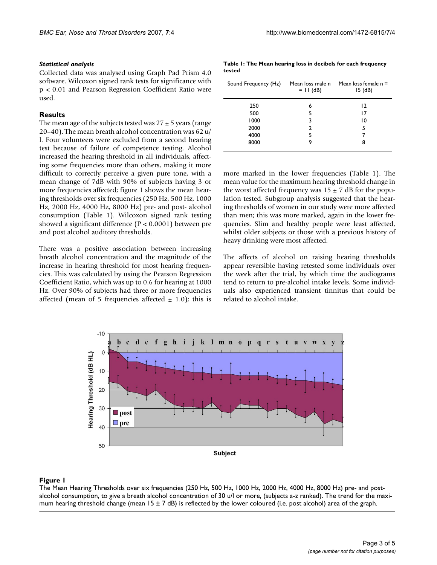#### *Statistical analysis*

Collected data was analysed using Graph Pad Prism 4.0 software. Wilcoxon signed rank tests for significance with p < 0.01 and Pearson Regression Coefficient Ratio were used.

#### **Results**

The mean age of the subjects tested was  $27 \pm 5$  years (range 20–40). The mean breath alcohol concentration was 62 u/ l. Four volunteers were excluded from a second hearing test because of failure of competence testing. Alcohol increased the hearing threshold in all individuals, affecting some frequencies more than others, making it more difficult to correctly perceive a given pure tone, with a mean change of 7dB with 90% of subjects having 3 or more frequencies affected; figure 1 shows the mean hearing thresholds over six frequencies (250 Hz, 500 Hz, 1000 Hz, 2000 Hz, 4000 Hz, 8000 Hz) pre- and post- alcohol consumption (Table 1). Wilcoxon signed rank testing showed a significant difference (P < 0.0001) between pre and post alcohol auditory thresholds.

There was a positive association between increasing breath alcohol concentration and the magnitude of the increase in hearing threshold for most hearing frequencies. This was calculated by using the Pearson Regression Coefficient Ratio, which was up to 0.6 for hearing at 1000 Hz. Over 90% of subjects had three or more frequencies affected (mean of 5 frequencies affected  $\pm$  1.0); this is

**Table 1: The Mean hearing loss in decibels for each frequency tested**

| Sound Frequency (Hz) | Mean loss male n<br>$=$ 11 (dB) | Mean loss female $n =$<br>15 (dB) |
|----------------------|---------------------------------|-----------------------------------|
| 250                  | 6                               | 12                                |
| 500                  | 5                               | 17                                |
| 1000                 | 3                               | 10                                |
| 2000                 | 2                               | 5                                 |
| 4000                 | 5                               | 7                                 |
| 8000                 | 9                               | Զ                                 |

more marked in the lower frequencies (Table 1). The mean value for the maximum hearing threshold change in the worst affected frequency was  $15 \pm 7$  dB for the population tested. Subgroup analysis suggested that the hearing thresholds of women in our study were more affected than men; this was more marked, again in the lower frequencies. Slim and healthy people were least affected, whilst older subjects or those with a previous history of heavy drinking were most affected.

The affects of alcohol on raising hearing thresholds appear reversible having retested some individuals over the week after the trial, by which time the audiograms tend to return to pre-alcohol intake levels. Some individuals also experienced transient tinnitus that could be related to alcohol intake.



#### Figure 1 and 2008 and 2008 and 2008 and 2008 and 2008 and 2008 and 2008 and 2008 and 2008 and 2008 and 2008 an

The Mean Hearing Thresholds over six frequencies (250 Hz, 500 Hz, 1000 Hz, 2000 Hz, 4000 Hz, 8000 Hz) pre- and postalcohol consumption, to give a breath alcohol concentration of 30 u/l or more, (subjects a-z ranked). The trend for the maximum hearing threshold change (mean  $15 \pm 7$  dB) is reflected by the lower coloured (i.e. post alcohol) area of the graph.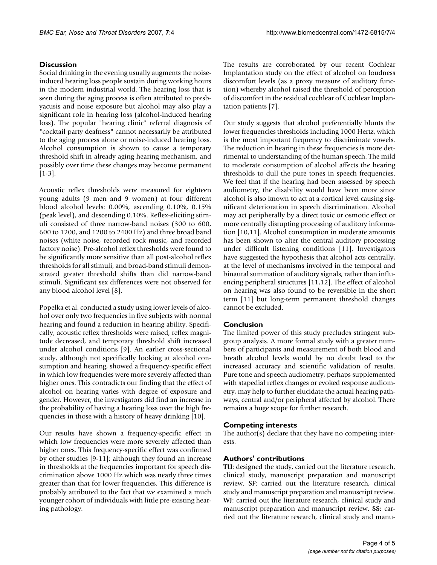### **Discussion**

Social drinking in the evening usually augments the noiseinduced hearing loss people sustain during working hours in the modern industrial world. The hearing loss that is seen during the aging process is often attributed to presbyacusis and noise exposure but alcohol may also play a significant role in hearing loss (alcohol-induced hearing loss). The popular "hearing clinic" referral diagnosis of "cocktail party deafness" cannot necessarily be attributed to the aging process alone or noise-induced hearing loss. Alcohol consumption is shown to cause a temporary threshold shift in already aging hearing mechanism, and possibly over time these changes may become permanent [1-3].

Acoustic reflex thresholds were measured for eighteen young adults (9 men and 9 women) at four different blood alcohol levels: 0.00%, ascending 0.10%, 0.15% (peak level), and descending 0.10%. Reflex-eliciting stimuli consisted of three narrow-band noises (300 to 600, 600 to 1200, and 1200 to 2400 Hz) and three broad band noises (white noise, recorded rock music, and recorded factory noise). Pre-alcohol reflex thresholds were found to be significantly more sensitive than all post-alcohol reflex thresholds for all stimuli, and broad-band stimuli demonstrated greater threshold shifts than did narrow-band stimuli. Significant sex differences were not observed for any blood alcohol level [8].

Popelka et al. conducted a study using lower levels of alcohol over only two frequencies in five subjects with normal hearing and found a reduction in hearing ability. Specifically, acoustic reflex thresholds were raised, reflex magnitude decreased, and temporary threshold shift increased under alcohol conditions [9]. An earlier cross-sectional study, although not specifically looking at alcohol consumption and hearing, showed a frequency-specific effect in which low frequencies were more severely affected than higher ones. This contradicts our finding that the effect of alcohol on hearing varies with degree of exposure and gender. However, the investigators did find an increase in the probability of having a hearing loss over the high frequencies in those with a history of heavy drinking [10].

Our results have shown a frequency-specific effect in which low frequencies were more severely affected than higher ones. This frequency-specific effect was confirmed by other studies [9-11]; although they found an increase in thresholds at the frequencies important for speech discrimination above 1000 Hz which was nearly three times greater than that for lower frequencies. This difference is probably attributed to the fact that we examined a much younger cohort of individuals with little pre-existing hearing pathology.

The results are corroborated by our recent Cochlear Implantation study on the effect of alcohol on loudness discomfort levels (as a proxy measure of auditory function) whereby alcohol raised the threshold of perception of discomfort in the residual cochlear of Cochlear Implantation patients [7].

Our study suggests that alcohol preferentially blunts the lower frequencies thresholds including 1000 Hertz, which is the most important frequency to discriminate vowels. The reduction in hearing in these frequencies is more detrimental to understanding of the human speech. The mild to moderate consumption of alcohol affects the hearing thresholds to dull the pure tones in speech frequencies. We feel that if the hearing had been assessed by speech audiometry, the disability would have been more since alcohol is also known to act at a cortical level causing significant deterioration in speech discrimination. Alcohol may act peripherally by a direct toxic or osmotic effect or more centrally disrupting processing of auditory information [10,11]. Alcohol consumption in moderate amounts has been shown to alter the central auditory processing under difficult listening conditions [11]. Investigators have suggested the hypothesis that alcohol acts centrally, at the level of mechanisms involved in the temporal and binaural summation of auditory signals, rather than influencing peripheral structures [11,12]. The effect of alcohol on hearing was also found to be reversible in the short term [11] but long-term permanent threshold changes cannot be excluded.

### **Conclusion**

The limited power of this study precludes stringent subgroup analysis. A more formal study with a greater numbers of participants and measurement of both blood and breath alcohol levels would by no doubt lead to the increased accuracy and scientific validation of results. Pure tone and speech audiometry, perhaps supplemented with stapedial reflex changes or evoked response audiometry, may help to further elucidate the actual hearing pathways, central and/or peripheral affected by alcohol. There remains a huge scope for further research.

#### **Competing interests**

The author(s) declare that they have no competing interests.

### **Authors' contributions**

**TU**: designed the study, carried out the literature research, clinical study, manuscript preparation and manuscript review. **SF**: carried out the literature research, clinical study and manuscript preparation and manuscript review. **WJ**: carried out the literature research, clinical study and manuscript preparation and manuscript review. **SS:** carried out the literature research, clinical study and manu